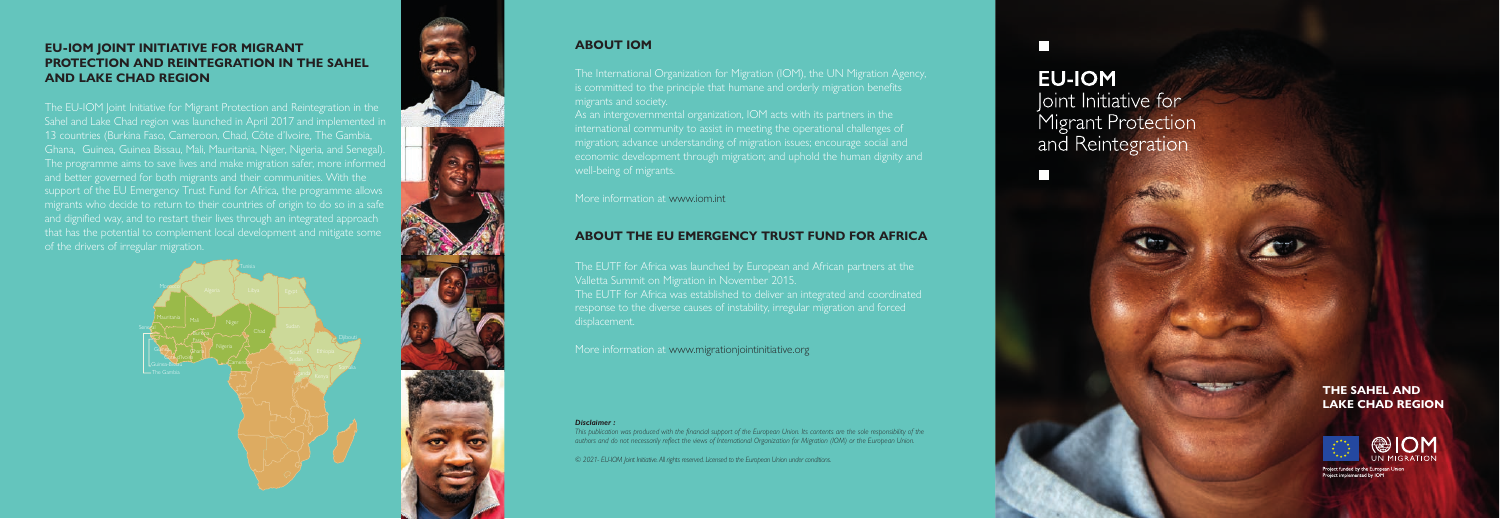#### **ABOUT IOM**

The International Organization for Migration (IOM), the UN Migration Agency, is committed to the principle that humane and orderly migration benefits migrants and society.

As an intergovernmental organization, IOM acts with its partners in the international community to assist in meeting the operational challenges of migration; advance understanding of migration issues; encourage social and economic development through migration; and uphold the human dignity and

More information at www.iom.int

## **ABOUT THE EU EMERGENCY TRUST FUND FOR AFRICA**

The EUTF for Africa was launched by European and African partners at the Valletta Summit on Migration in November 2015. The EUTF for Africa was established to deliver an integrated and coordinated response to the diverse causes of instability, irregular migration and forced displacement.

More information at www.migrationjointinitiative.org

#### *Disclaimer :*

*This publication was produced with the financial support of the European Union. Its contents are the sole responsibility of the authors and do not necessarily reflect the views of International Organization for Migration (IOM) or the European Union.*

The EU-IOM Joint Initiative for Migrant Protection and Reintegration in the Sahel and Lake Chad region was launched in April 2017 and implemented in 13 countries (Burkina Faso, Cameroon, Chad, Côte d'Ivoire, The Gambia, Ghana, Guinea, Guinea Bissau, Mali, Mauritania, Niger, Nigeria, and Senegal). The programme aims to save lives and make migration safer, more informed and better governed for both migrants and their communities. With the support of the EU Emergency Trust Fund for Africa, the programme allows and dignified way, and to restart their lives through an integrated approach that has the potential to complement local development and mitigate some of the drivers of irregular migration.

*© 2021- EU-IOM Joint Initiative. All rights reserved. Licensed to the European Union under conditions.*

# **EU-IOM** Joint Initiative for Migrant Protection and Reintegration





### **EU-IOM JOINT INITIATIVE FOR MIGRANT PROTECTION AND REINTEGRATION IN THE SAHEL AND LAKE CHAD REGION**

#### **THE SAHEL AND LAKE CHAD REGION**